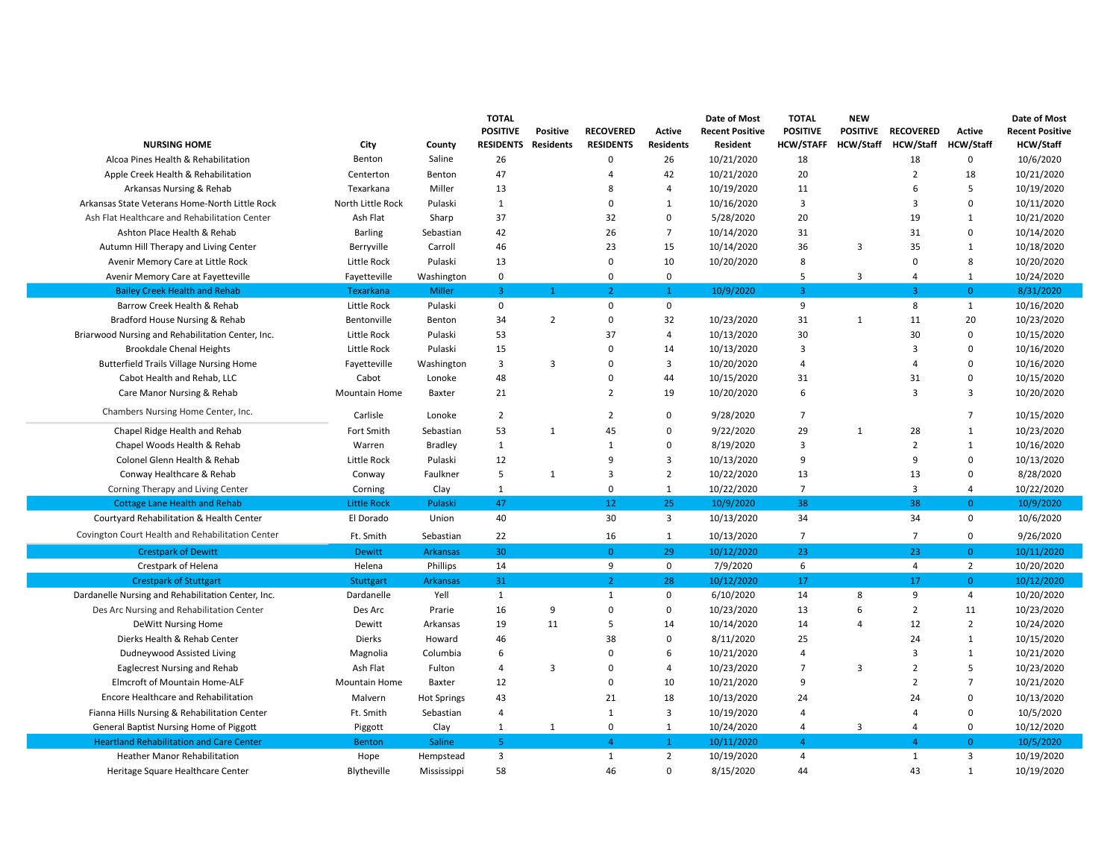|                                                    |                      |                    | <b>TOTAL</b><br><b>POSITIVE</b> | <b>Positive</b>  | <b>RECOVERED</b> | <b>Active</b>    | Date of Most<br><b>Recent Positive</b> | <b>TOTAL</b><br><b>POSITIVE</b> | <b>NEW</b><br><b>POSITIVE</b> | <b>RECOVERED</b>        | Active           | Date of Most<br><b>Recent Positive</b> |
|----------------------------------------------------|----------------------|--------------------|---------------------------------|------------------|------------------|------------------|----------------------------------------|---------------------------------|-------------------------------|-------------------------|------------------|----------------------------------------|
| <b>NURSING HOME</b>                                | City                 | County             | <b>RESIDENTS</b>                | <b>Residents</b> | <b>RESIDENTS</b> | <b>Residents</b> | <b>Resident</b>                        | <b>HCW/STAFF</b>                | <b>HCW/Staff</b>              | <b>HCW/Staff</b>        | <b>HCW/Staff</b> | <b>HCW/Staff</b>                       |
| Alcoa Pines Health & Rehabilitation                | Benton               | Saline             | 26                              |                  | $\Omega$         | 26               | 10/21/2020                             | 18                              |                               | 18                      | 0                | 10/6/2020                              |
| Apple Creek Health & Rehabilitation                | Centerton            | Benton             | 47                              |                  | $\overline{4}$   | 42               | 10/21/2020                             | 20                              |                               | $\overline{2}$          | 18               | 10/21/2020                             |
| Arkansas Nursing & Rehab                           | Texarkana            | Miller             | 13                              |                  | 8                | 4                | 10/19/2020                             | 11                              |                               | 6                       | 5                | 10/19/2020                             |
| Arkansas State Veterans Home-North Little Rock     | North Little Rock    | Pulaski            | $\mathbf{1}$                    |                  | $\Omega$         | $\mathbf{1}$     | 10/16/2020                             | 3                               |                               | $\overline{3}$          | $\mathbf 0$      | 10/11/2020                             |
| Ash Flat Healthcare and Rehabilitation Center      | Ash Flat             | Sharp              | 37                              |                  | 32               | $\Omega$         | 5/28/2020                              | 20                              |                               | 19                      | $\mathbf{1}$     | 10/21/2020                             |
| Ashton Place Health & Rehab                        | <b>Barling</b>       | Sebastian          | 42                              |                  | 26               | $\overline{7}$   | 10/14/2020                             | 31                              |                               | 31                      | $\mathbf 0$      | 10/14/2020                             |
| Autumn Hill Therapy and Living Center              | Berryville           | Carroll            | 46                              |                  | 23               | 15               | 10/14/2020                             | 36                              | 3                             | 35                      | $\mathbf{1}$     | 10/18/2020                             |
| Avenir Memory Care at Little Rock                  | Little Rock          | Pulaski            | 13                              |                  | $\Omega$         | 10               | 10/20/2020                             | 8                               |                               | $\mathbf 0$             | 8                | 10/20/2020                             |
| Avenir Memory Care at Fayetteville                 | Fayetteville         | Washington         | 0                               |                  | 0                | 0                |                                        | 5                               | 3                             | $\overline{4}$          | 1                | 10/24/2020                             |
| <b>Bailey Creek Health and Rehab</b>               | Texarkana            | Miller             | $\overline{3}$                  | $\mathbf{1}$     | $\overline{2}$   | $\mathbf{1}$     | 10/9/2020                              | $\overline{3}$                  |                               | $\overline{3}$          | $\Omega$         | 8/31/2020                              |
| Barrow Creek Health & Rehab                        | Little Rock          | Pulaski            | $\mathbf 0$                     |                  | $\mathbf 0$      | 0                |                                        | 9                               |                               | 8                       | 1                | 10/16/2020                             |
| Bradford House Nursing & Rehab                     | Bentonville          | Benton             | 34                              | $\overline{2}$   | $\mathbf 0$      | 32               | 10/23/2020                             | 31                              | $\mathbf{1}$                  | 11                      | 20               | 10/23/2020                             |
| Briarwood Nursing and Rehabilitation Center, Inc.  | Little Rock          | Pulaski            | 53                              |                  | 37               | $\overline{4}$   | 10/13/2020                             | 30                              |                               | 30                      | $\mathbf 0$      | 10/15/2020                             |
| <b>Brookdale Chenal Heights</b>                    | Little Rock          | Pulaski            | 15                              |                  | $\Omega$         | 14               | 10/13/2020                             | 3                               |                               | $\overline{3}$          | $\Omega$         | 10/16/2020                             |
| <b>Butterfield Trails Village Nursing Home</b>     | Fayetteville         | Washington         | 3                               | $\overline{3}$   | $\Omega$         | 3                | 10/20/2020                             | 4                               |                               | $\overline{A}$          | $\mathbf 0$      | 10/16/2020                             |
| Cabot Health and Rehab, LLC                        | Cabot                | Lonoke             | 48                              |                  | $\mathbf 0$      | 44               | 10/15/2020                             | 31                              |                               | 31                      | $\Omega$         | 10/15/2020                             |
| Care Manor Nursing & Rehab                         | <b>Mountain Home</b> | Baxter             | 21                              |                  | $\overline{2}$   | 19               | 10/20/2020                             | 6                               |                               | $\overline{\mathbf{3}}$ | 3                | 10/20/2020                             |
| Chambers Nursing Home Center, Inc.                 | Carlisle             | Lonoke             | $\overline{2}$                  |                  | $\overline{2}$   | 0                | 9/28/2020                              | $\overline{7}$                  |                               |                         | $\overline{7}$   | 10/15/2020                             |
| Chapel Ridge Health and Rehab                      | Fort Smith           | Sebastian          | 53                              | $\mathbf{1}$     | 45               | $\Omega$         | 9/22/2020                              | 29                              | $\mathbf{1}$                  | 28                      | 1                | 10/23/2020                             |
| Chapel Woods Health & Rehab                        | Warren               | Bradley            | 1                               |                  | $\mathbf{1}$     | $\Omega$         | 8/19/2020                              | 3                               |                               | $\overline{2}$          | 1                | 10/16/2020                             |
| Colonel Glenn Health & Rehab                       | Little Rock          | Pulaski            | 12                              |                  | 9                | 3                | 10/13/2020                             | 9                               |                               | 9                       | $\mathbf 0$      | 10/13/2020                             |
| Conway Healthcare & Rehab                          | Conway               | Faulkner           | 5                               | $\mathbf{1}$     | $\overline{3}$   | $\overline{2}$   | 10/22/2020                             | 13                              |                               | 13                      | $\mathbf 0$      | 8/28/2020                              |
| Corning Therapy and Living Center                  | Corning              | Clay               | $\mathbf{1}$                    |                  | $\mathbf 0$      | $1\,$            | 10/22/2020                             | $\overline{7}$                  |                               | $\overline{\mathbf{3}}$ | 4                | 10/22/2020                             |
| <b>Cottage Lane Health and Rehab</b>               | <b>Little Rock</b>   | Pulaski            | 47                              |                  | 12               | 25               | 10/9/2020                              | 38                              |                               | 38                      | $\overline{0}$   | 10/9/2020                              |
| Courtyard Rehabilitation & Health Center           | El Dorado            | Union              | 40                              |                  | 30               | 3                | 10/13/2020                             | 34                              |                               | 34                      | $\mathbf 0$      | 10/6/2020                              |
| Covington Court Health and Rehabilitation Center   | Ft. Smith            | Sebastian          | 22                              |                  | 16               | $\mathbf{1}$     | 10/13/2020                             | $\overline{7}$                  |                               | $\overline{7}$          | $\mathbf 0$      | 9/26/2020                              |
| <b>Crestpark of Dewitt</b>                         | <b>Dewitt</b>        | Arkansas           | 30                              |                  | $\mathbf 0$      | 29               | 10/12/2020                             | 23                              |                               | 23                      | $\overline{0}$   | 10/11/2020                             |
| Crestpark of Helena                                | Helena               | Phillips           | 14                              |                  | 9                | 0                | 7/9/2020                               | 6                               |                               | $\overline{4}$          | $\overline{2}$   | 10/20/2020                             |
| <b>Crestpark of Stuttgart</b>                      | <b>Stuttgart</b>     | <b>Arkansas</b>    | 31                              |                  | $\overline{2}$   | 28               | 10/12/2020                             | 17                              |                               | 17                      | $\Omega$         | 10/12/2020                             |
| Dardanelle Nursing and Rehabilitation Center, Inc. | Dardanelle           | Yell               | $\mathbf{1}$                    |                  | $\mathbf{1}$     | 0                | 6/10/2020                              | 14                              | 8                             | 9                       | $\overline{4}$   | 10/20/2020                             |
| Des Arc Nursing and Rehabilitation Center          | Des Arc              | Prarie             | 16                              | 9                | $\mathbf 0$      | $\Omega$         | 10/23/2020                             | 13                              | 6                             | $\overline{2}$          | 11               | 10/23/2020                             |
| <b>DeWitt Nursing Home</b>                         | Dewitt               | Arkansas           | 19                              | 11               | 5                | 14               | 10/14/2020                             | 14                              | $\overline{4}$                | 12                      | $\overline{2}$   | 10/24/2020                             |
| Dierks Health & Rehab Center                       | Dierks               | Howard             | 46                              |                  | 38               | 0                | 8/11/2020                              | 25                              |                               | 24                      | 1                | 10/15/2020                             |
| Dudneywood Assisted Living                         | Magnolia             | Columbia           | 6                               |                  | $\Omega$         | 6                | 10/21/2020                             | $\overline{4}$                  |                               | $\overline{3}$          | $\mathbf{1}$     | 10/21/2020                             |
| Eaglecrest Nursing and Rehab                       | Ash Flat             | Fulton             | $\overline{4}$                  | 3                | $\Omega$         | 4                | 10/23/2020                             | $\overline{7}$                  | $\overline{3}$                | $\overline{2}$          | 5                | 10/23/2020                             |
| Elmcroft of Mountain Home-ALF                      | Mountain Home        | Baxter             | 12                              |                  | $\mathbf 0$      | 10               | 10/21/2020                             | 9                               |                               | $\overline{2}$          | $\overline{7}$   | 10/21/2020                             |
| Encore Healthcare and Rehabilitation               | Malvern              | <b>Hot Springs</b> | 43                              |                  | 21               | 18               | 10/13/2020                             | 24                              |                               | 24                      | $\mathbf 0$      | 10/13/2020                             |
| Fianna Hills Nursing & Rehabilitation Center       | Ft. Smith            | Sebastian          | $\overline{4}$                  |                  | $\mathbf{1}$     | 3                | 10/19/2020                             | 4                               |                               | $\overline{4}$          | $\mathbf 0$      | 10/5/2020                              |
| General Baptist Nursing Home of Piggott            | Piggott              | Clay               | 1                               | 1                | $\mathbf 0$      | $\mathbf{1}$     | 10/24/2020                             | 4                               | $\overline{3}$                | $\overline{4}$          | $\mathbf 0$      | 10/12/2020                             |
| <b>Heartland Rehabilitation and Care Center</b>    | <b>Benton</b>        | Saline             | -5                              |                  | $\overline{4}$   | $\mathbf{1}$     | 10/11/2020                             | $\overline{4}$                  |                               | $\overline{4}$          | $\Omega$         | 10/5/2020                              |
| Heather Manor Rehabilitation                       | Hope                 | Hempstead          | 3                               |                  | $1\,$            | $\overline{2}$   | 10/19/2020                             | 4                               |                               | $\mathbf{1}$            | $\overline{3}$   | 10/19/2020                             |
| Heritage Square Healthcare Center                  | Blytheville          | Mississippi        | 58                              |                  | 46               | $\mathbf 0$      | 8/15/2020                              | 44                              |                               | 43                      | $\mathbf{1}$     | 10/19/2020                             |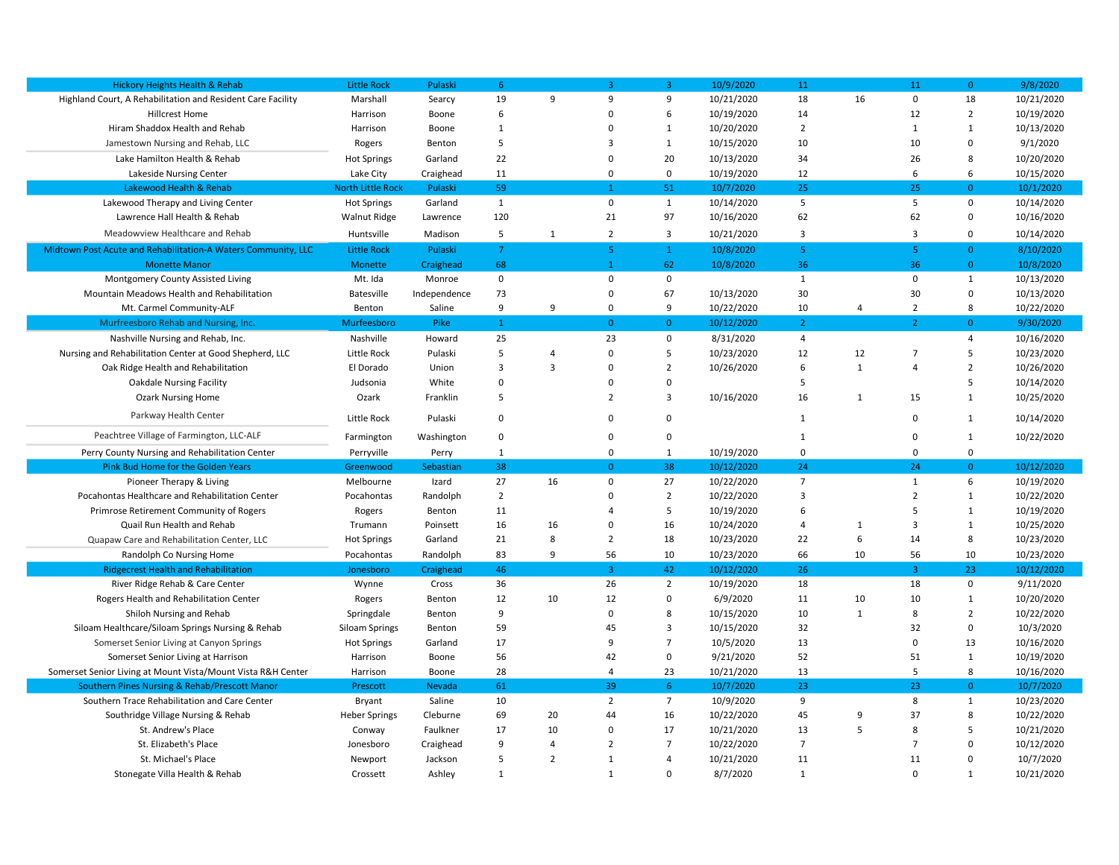| <b>Hickory Heights Health &amp; Rehab</b>                     | <b>Little Rock</b>       | Pulaski       | 6              |                         | $\overline{3}$ | $\overline{3}$ | 10/9/2020  | 11             |              | 11             | $\overline{0}$ | 9/8/2020   |
|---------------------------------------------------------------|--------------------------|---------------|----------------|-------------------------|----------------|----------------|------------|----------------|--------------|----------------|----------------|------------|
| Highland Court, A Rehabilitation and Resident Care Facility   | Marshall                 | Searcy        | 19             | 9                       | 9              | 9              | 10/21/2020 | 18             | 16           | $\mathsf 0$    | 18             | 10/21/2020 |
| <b>Hillcrest Home</b>                                         | Harrison                 | Boone         | 6              |                         | $\Omega$       | 6              | 10/19/2020 | 14             |              | 12             | $\overline{2}$ | 10/19/2020 |
| Hiram Shaddox Health and Rehab                                | Harrison                 | Boone         | 1              |                         | $\Omega$       | $\mathbf{1}$   | 10/20/2020 | $\overline{2}$ |              | 1              | $\mathbf{1}$   | 10/13/2020 |
| Jamestown Nursing and Rehab, LLC                              | Rogers                   | Benton        | 5              |                         | 3              | $\mathbf{1}$   | 10/15/2020 | 10             |              | 10             | $\mathbf 0$    | 9/1/2020   |
| Lake Hamilton Health & Rehab                                  | <b>Hot Springs</b>       | Garland       | 22             |                         | $\Omega$       | 20             | 10/13/2020 | 34             |              | 26             | 8              | 10/20/2020 |
| Lakeside Nursing Center                                       | Lake City                | Craighead     | 11             |                         | $\mathbf 0$    | $\Omega$       | 10/19/2020 | 12             |              | 6              | 6              | 10/15/2020 |
| Lakewood Health & Rehab                                       | <b>North Little Rock</b> | Pulaski       | 59             |                         | $\mathbf{1}$   | 51             | 10/7/2020  | 25             |              | 25             | $\Omega$       | 10/1/2020  |
| Lakewood Therapy and Living Center                            | <b>Hot Springs</b>       | Garland       | 1              |                         | $\pmb{0}$      | $\mathbf{1}$   | 10/14/2020 | 5              |              | 5              | $\mathbf 0$    | 10/14/2020 |
| Lawrence Hall Health & Rehab                                  | <b>Walnut Ridge</b>      | Lawrence      | 120            |                         | 21             | 97             | 10/16/2020 | 62             |              | 62             | $\mathbf 0$    | 10/16/2020 |
| Meadowview Healthcare and Rehab                               | Huntsville               | Madison       | 5              | $\mathbf{1}$            | $\overline{2}$ | 3              | 10/21/2020 | 3              |              | 3              | 0              | 10/14/2020 |
| Midtown Post Acute and Rehabilitation-A Waters Community, LLC | <b>Little Rock</b>       | Pulaski       | $\overline{7}$ |                         | 5              | $\overline{1}$ | 10/8/2020  | 5              |              | 5 <sup>°</sup> | $\Omega$       | 8/10/2020  |
| <b>Monette Manor</b>                                          | Monette                  | Craighead     | 68             |                         | $\mathbf{1}$   | 62             | 10/8/2020  | 36             |              | 36             | $\overline{0}$ | 10/8/2020  |
| Montgomery County Assisted Living                             | Mt. Ida                  | Monroe        | $\mathsf 0$    |                         | $\mathbf 0$    | $\mathsf 0$    |            | $\mathbf{1}$   |              | $\mathbf 0$    | $\mathbf{1}$   | 10/13/2020 |
| Mountain Meadows Health and Rehabilitation                    | <b>Batesville</b>        | Independence  | 73             |                         | $\Omega$       | 67             | 10/13/2020 | 30             |              | 30             | $\Omega$       | 10/13/2020 |
| Mt. Carmel Community-ALF                                      | Benton                   | Saline        | 9              | 9                       | 0              | 9              | 10/22/2020 | 10             | $\Delta$     | $\overline{2}$ | 8              | 10/22/2020 |
| Murfreesboro Rehab and Nursing, Inc.                          | Murfeesboro              | Pike          | $\overline{1}$ |                         | $\overline{0}$ | $\overline{0}$ | 10/12/2020 | 2 <sup>1</sup> |              | $\overline{2}$ | $\Omega$       | 9/30/2020  |
| Nashville Nursing and Rehab, Inc.                             | Nashville                | Howard        | 25             |                         | 23             | 0              | 8/31/2020  | $\overline{4}$ |              |                | 4              | 10/16/2020 |
| Nursing and Rehabilitation Center at Good Shepherd, LLC       | Little Rock              | Pulaski       | 5              | $\overline{\mathbf{A}}$ | 0              | 5              | 10/23/2020 | 12             | 12           | $\overline{7}$ | 5              | 10/23/2020 |
| Oak Ridge Health and Rehabilitation                           | El Dorado                | Union         | 3              | $\overline{3}$          | 0              | $\overline{2}$ | 10/26/2020 | 6              | $\mathbf{1}$ | $\overline{a}$ | $\overline{2}$ | 10/26/2020 |
| <b>Oakdale Nursing Facility</b>                               | Judsonia                 | White         | $\mathbf 0$    |                         | 0              | $\mathbf 0$    |            | 5              |              |                | 5              | 10/14/2020 |
| <b>Ozark Nursing Home</b>                                     | Ozark                    | Franklin      | 5              |                         | $\overline{2}$ | $\overline{3}$ | 10/16/2020 | 16             | $\mathbf{1}$ | 15             | $\mathbf{1}$   | 10/25/2020 |
| Parkway Health Center                                         | Little Rock              | Pulaski       | $\Omega$       |                         | 0              | $\mathbf 0$    |            | $\mathbf{1}$   |              | $\mathbf 0$    | $\mathbf{1}$   | 10/14/2020 |
| Peachtree Village of Farmington, LLC-ALF                      | Farmington               | Washington    | $\mathbf 0$    |                         | 0              | $\Omega$       |            | $\mathbf{1}$   |              | $\mathbf 0$    | $\mathbf{1}$   | 10/22/2020 |
| Perry County Nursing and Rehabilitation Center                | Perryville               | Perry         | $\mathbf{1}$   |                         | 0              | $\mathbf{1}$   | 10/19/2020 | 0              |              | $\mathbf 0$    | $\mathbf 0$    |            |
| Pink Bud Home for the Golden Years                            | Greenwood                | Sebastian     | 38             |                         | $\overline{0}$ | 38             | 10/12/2020 | 24             |              | 24             | $\Omega$       | 10/12/2020 |
| Pioneer Therapy & Living                                      | Melbourne                | Izard         | 27             | 16                      | 0              | 27             | 10/22/2020 | $\overline{7}$ |              | $\mathbf{1}$   | 6              | 10/19/2020 |
| Pocahontas Healthcare and Rehabilitation Center               | Pocahontas               | Randolph      | $\overline{2}$ |                         | 0              | $\overline{2}$ | 10/22/2020 | $\overline{3}$ |              | $\overline{2}$ | $\mathbf{1}$   | 10/22/2020 |
| Primrose Retirement Community of Rogers                       | Rogers                   | Benton        | 11             |                         | 4              | 5              | 10/19/2020 | 6              |              | 5              | $\mathbf{1}$   | 10/19/2020 |
| Quail Run Health and Rehab                                    | Trumann                  | Poinsett      | 16             | 16                      | 0              | 16             | 10/24/2020 | $\overline{a}$ | 1            | 3              | $\mathbf{1}$   | 10/25/2020 |
| Quapaw Care and Rehabilitation Center, LLC                    | <b>Hot Springs</b>       | Garland       | 21             | 8                       | $\overline{2}$ | 18             | 10/23/2020 | 22             | 6            | 14             | 8              | 10/23/2020 |
| Randolph Co Nursing Home                                      | Pocahontas               | Randolph      | 83             | 9                       | 56             | 10             | 10/23/2020 | 66             | 10           | 56             | 10             | 10/23/2020 |
| <b>Ridgecrest Health and Rehabilitation</b>                   | Jonesboro                | Craighead     | 46             |                         | $\overline{3}$ | 42             | 10/12/2020 | 26             |              | $\mathbf{3}$   | 23             | 10/12/2020 |
| River Ridge Rehab & Care Center                               | Wynne                    | Cross         | 36             |                         | 26             | $\overline{2}$ | 10/19/2020 | 18             |              | 18             | $\pmb{0}$      | 9/11/2020  |
| Rogers Health and Rehabilitation Center                       | Rogers                   | Benton        | 12             | 10                      | 12             | $\Omega$       | 6/9/2020   | 11             | 10           | 10             | $\mathbf{1}$   | 10/20/2020 |
| Shiloh Nursing and Rehab                                      | Springdale               | Benton        | 9              |                         | 0              | 8              | 10/15/2020 | 10             | $\mathbf{1}$ | 8              | $\overline{2}$ | 10/22/2020 |
| Siloam Healthcare/Siloam Springs Nursing & Rehab              | <b>Siloam Springs</b>    | Benton        | 59             |                         | 45             | $\overline{3}$ | 10/15/2020 | 32             |              | 32             | $\mathbf 0$    | 10/3/2020  |
| Somerset Senior Living at Canyon Springs                      | <b>Hot Springs</b>       | Garland       | 17             |                         | 9              | $\overline{7}$ | 10/5/2020  | 13             |              | $\Omega$       | 13             | 10/16/2020 |
| Somerset Senior Living at Harrison                            | Harrison                 | Boone         | 56             |                         | 42             | $\mathbf 0$    | 9/21/2020  | 52             |              | 51             | $\mathbf{1}$   | 10/19/2020 |
|                                                               |                          |               |                |                         |                |                |            | 13             |              | 5              |                |            |
| Somerset Senior Living at Mount Vista/Mount Vista R&H Center  | Harrison                 | Boone         | 28             |                         | $\overline{4}$ | 23             | 10/21/2020 |                |              |                | 8              | 10/16/2020 |
| Southern Pines Nursing & Rehab/Prescott Manor                 | Prescott                 | <b>Nevada</b> | 61             |                         | 39             | 6              | 10/7/2020  | 23             |              | 23             | $\overline{0}$ | 10/7/2020  |
| Southern Trace Rehabilitation and Care Center                 | Bryant                   | Saline        | 10             |                         | $\overline{2}$ | $\overline{7}$ | 10/9/2020  | 9              |              | 8              | $\mathbf{1}$   | 10/23/2020 |
| Southridge Village Nursing & Rehab                            | <b>Heber Springs</b>     | Cleburne      | 69             | 20                      | 44             | 16             | 10/22/2020 | 45             | 9            | 37             | 8              | 10/22/2020 |
| St. Andrew's Place                                            | Conway                   | Faulkner      | 17             | 10                      | 0              | 17             | 10/21/2020 | 13             | 5            | 8              | 5              | 10/21/2020 |
| St. Elizabeth's Place                                         | Jonesboro                | Craighead     | 9              | $\overline{4}$          | $\overline{2}$ | $\overline{7}$ | 10/22/2020 | $\overline{7}$ |              | $\overline{7}$ | $\Omega$       | 10/12/2020 |
| St. Michael's Place                                           | Newport                  | Jackson       | 5              | $\overline{2}$          | $\mathbf{1}$   | $\overline{4}$ | 10/21/2020 | 11             |              | 11             | $\Omega$       | 10/7/2020  |